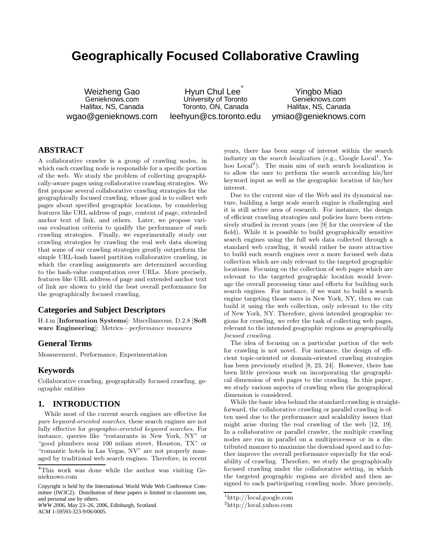# **Geographically Focused Collaborative Crawling**

Weizheng Gao Genieknows.com Halifax, NS, Canada wgao@genieknows.com

Hyun Chul Lee<sup>\*</sup> University of Toronto Toronto, ON, Canada leehyun@cs.toronto.edu

Yingbo Miao Genieknows.com Halifax, NS, Canada ymiao@genieknows.com

# **ABSTRACT**

A collaborative crawler is a group of crawling nodes, in which each crawling node is responsible for a specific portion of the web. We study the problem of collecting geographically-aware pages using collaborative crawling strategies. We first propose several collaborative crawling strategies for the geographically focused crawling, whose goal is to collect web pages about specified geographic locations, by considering features like URL address of page, content of page, extended anchor text of link, and others. Later, we propose various evaluation criteria to qualify the performance of such crawling strategies. Finally, we experimentally study our crawling strategies by crawling the real web data showing that some of our crawling strategies greatly outperform the simple URL-hash based partition collaborative crawling, in which the crawling assignments are determined according to the hash-value computation over URLs. More precisely, features like URL address of page and extended anchor text of link are shown to yield the best overall performance for the geographically focused crawling.

# **Categories and Subject Descriptors**

H.4.m [Information Systems]: Miscellaneous; D.2.8 [Soft ware Engineering]: Metrics—performance measures

# **General Terms**

Measurement, Performance, Experimentation

# **Keywords**

Collaborative crawling, geographically focused crawling, geographic entities

# **1. INTRODUCTION**

While most of the current search engines are effective for pure keyword-oriented searches, these search engines are not fully effective for geographic-oriented keyword searches. For instance, queries like "restaurants in New York, NY" or "good plumbers near 100 milam street, Houston, TX" or "romantic hotels in Las Vegas, NV" are not properly managed by traditional web search engines. Therefore, in recent

Copyright is held by the International World Wide Web Conference Committee (IW3C2). Distribution of these papers is limited to classroom use, and personal use by others.

*WWW 2006*, May 23–26, 2006, Edinburgh, Scotland. ACM 1-59593-323-9/06/0005.

years, there has been surge of interest within the search industry on the *search localization* (e.g., Google Local<sup>1</sup>, Yahoo Local<sup>2</sup>). The main aim of such search localization is to allow the user to perform the search according his/her keyword input as well as the geographic location of his/her interest.

Due to the current size of the Web and its dynamical nature, building a large scale search engine is challenging and it is still active area of research. For instance, the design of efficient crawling strategies and policies have been extensively studied in recent years (see [9] for the overview of the field). While it is possible to build geographically sensitive search engines using the full web data collected through a standard web crawling, it would rather be more attractive to build such search engines over a more focused web data collection which are only relevant to the targeted geographic locations. Focusing on the collection of web pages which are relevant to the targeted geographic location would leverage the overall processing time and efforts for building such search engines. For instance, if we want to build a search engine targeting those users in New York, NY, then we can build it using the web collection, only relevant to the city of New York, NY. Therefore, given intended geographic regions for crawling, we refer the task of collecting web pages, relevant to the intended geographic regions as *geographically* focused crawling.

The idea of focusing on a particular portion of the web for crawling is not novel. For instance, the design of efficient topic-oriented or domain-oriented crawling strategies has been previously studied [8, 23, 24]. However, there has been little previous work on incorporating the geographical dimension of web pages to the crawling. In this paper, we study various aspects of crawling when the geographical dimension is considered.

While the basic idea behind the standard crawling is straightforward, the collaborative crawling or parallel crawling is often used due to the performance and scalability issues that might arise during the real crawling of the web [12, 19]. In a collaborative or parallel crawler, the multiple crawling nodes are run in parallel on a multiprocessor or in a distributed manner to maximize the download speed and to further improve the overall performance especially for the scalability of crawling. Therefore, we study the geographically focused crawling under the collaborative setting, in which the targeted geographic regions are divided and then assigned to each participating crawling node. More precisely,

<sup>∗</sup>This work was done while the author was visiting Genieknows.com

<sup>1</sup>http://local.google.com

<sup>2</sup>http://local.yahoo.com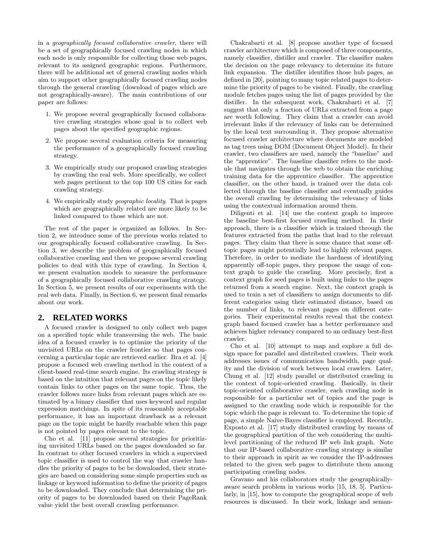in a geographically focused collaborative crawler, there will be a set of geographically focused crawling nodes in which each node is only responsible for collecting those web pages, relevant to its assigned geographic regions. Furthermore, there will be additional set of general crawling nodes which aim to support other geographically focused crawling nodes through the general crawling (download of pages which are not geographically-aware). The main contributions of our paper are follows:

- 1. We propose several geographically focused collaborative crawling strategies whose goal is to collect web pages about the specified geographic regions.
- 2. We propose several evaluation criteria for measuring the performance of a geographically focused crawling strategy.
- 3. We empirically study our proposed crawling strategies by crawling the real web. More specifically, we collect web pages pertinent to the top 100 US cities for each crawling strategy.
- 4. We empirically study geographic locality. That is pages which are geographically related are more likely to be linked compared to those which are not.

The rest of the paper is organized as follows. In Section 2, we introduce some of the previous works related to our geographically focused collaborative crawling. In Section 3, we describe the problem of geographically focused collaborative crawling and then we propose several crawling policies to deal with this type of crawling. In Section 4, we present evaluation models to measure the performance of a geographically focused collaborative crawling strategy. In Section 5, we present results of our experiments with the real web data. Finally, in Section 6, we present final remarks about our work.

#### **2. RELATED WORKS**

A focused crawler is designed to only collect web pages on a specified topic while transversing the web. The basic idea of a focused crawler is to optimize the priority of the unvisited URLs on the crawler frontier so that pages concerning a particular topic are retrieved earlier. Bra et al. [4] propose a focused web crawling method in the context of a client-based real-time search engine. Its crawling strategy is based on the intuition that relevant pages on the topic likely contain links to other pages on the same topic. Thus, the crawler follows more links from relevant pages which are estimated by a binary classifier that uses keyword and regular expression matchings. In spite of its reasonably acceptable performance, it has an important drawback as a relevant page on the topic might be hardly reachable when this page is not pointed by pages relevant to the topic.

Cho et al. [11] propose several strategies for prioritizing unvisited URLs based on the pages downloaded so far. In contrast to other focused crawlers in which a supervised topic classifier is used to control the way that crawler handles the priority of pages to be be downloaded, their strategies are based on considering some simple properties such as linkage or keyword information to define the priority of pages to be downloaded. They conclude that determining the priority of pages to be downloaded based on their PageRank value yield the best overall crawling performance.

Chakrabarti et al. [8] propose another type of focused crawler architecture which is composed of three components, namely classifier, distiller and crawler. The classifier makes the decision on the page relevancy to determine its future link expansion. The distiller identifies those hub pages, as defined in [20], pointing to many topic related pages to determine the priority of pages to be visited. Finally, the crawling module fetches pages using the list of pages provided by the distiller. In the subsequent work, Chakrabarti et al. [7] suggest that only a fraction of URLs extracted from a page are worth following. They claim that a crawler can avoid irrelevant links if the relevancy of links can be determined by the local text surrounding it. They propose alternative focused crawler architecture where documents are modeled as tag trees using DOM (Document Object Model). In their crawler, two classifiers are used, namely the "baseline" and the "apprentice". The baseline classifier refers to the module that navigates through the web to obtain the enriching training data for the apprentice classifier. The apprentice classifier, on the other hand, is trained over the data collected through the baseline classifier and eventually guides the overall crawling by determining the relevancy of links using the contextual information around them.

Diligenti et al. [14] use the context graph to improve the baseline best-first focused crawling method. In their approach, there is a classifier which is trained through the features extracted from the paths that lead to the relevant pages. They claim that there is some chance that some offtopic pages might potentially lead to highly relevant pages. Therefore, in order to mediate the hardness of identifying apparently off-topic pages, they propose the usage of context graph to guide the crawling. More precisely, first a context graph for seed pages is built using links to the pages returned from a search engine. Next, the context graph is used to train a set of classifiers to assign documents to different categories using their estimated distance, based on the number of links, to relevant pages on different categories. Their experimental results reveal that the context graph based focused crawler has a better performance and achieves higher relevancy compared to an ordinary best-first crawler.

Cho et al. [10] attempt to map and explore a full design space for parallel and distributed crawlers. Their work addresses issues of communication bandwidth, page quality and the division of work between local crawlers. Later, Chung et al. [12] study parallel or distributed crawling in the context of topic-oriented crawling. Basically, in their topic-oriented collaborative crawler, each crawling node is responsible for a particular set of topics and the page is assigned to the crawling node which is responsible for the topic which the page is relevant to. To determine the topic of page, a simple Naive-Bayes classifier is employed. Recently, Exposto et al. [17] study distributed crawling by means of the geographical partition of the web considering the multilevel partitioning of the reduced IP web link graph. Note that our IP-based collaborative crawling strategy is similar to their approach in spirit as we consider the IP-addresses related to the given web pages to distribute them among participating crawling nodes.

Gravano and his collaborators study the geographicallyaware search problem in various works [15, 18, 5]. Particularly, in [15], how to compute the geographical scope of web resources is discussed. In their work, linkage and seman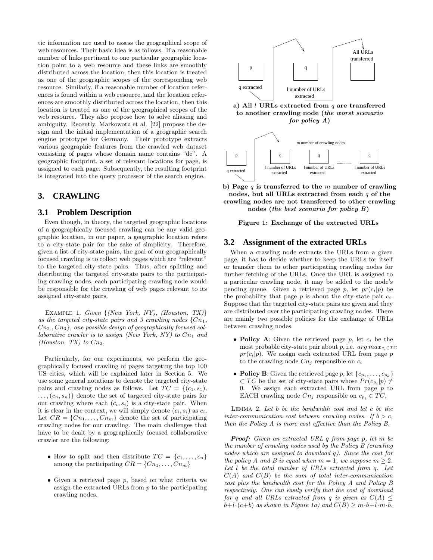tic information are used to assess the geographical scope of web resources. Their basic idea is as follows. If a reasonable number of links pertinent to one particular geographic location point to a web resource and these links are smoothly distributed across the location, then this location is treated as one of the geographic scopes of the corresponding web resource. Similarly, if a reasonable number of location references is found within a web resource, and the location references are smoothly distributed across the location, then this location is treated as one of the geographical scopes of the web resource. They also propose how to solve aliasing and ambiguity. Recently, Markowotz et al. [22] propose the design and the initial implementation of a geographic search engine prototype for Germany. Their prototype extracts various geographic features from the crawled web dataset consisting of pages whose domain name contains "de". A geographic footprint, a set of relevant locations for page, is assigned to each page. Subsequently, the resulting footprint is integrated into the query processor of the search engine.

## **3. CRAWLING**

#### **3.1 Problem Description**

Even though, in theory, the targeted geographic locations of a geographically focused crawling can be any valid geographic location, in our paper, a geographic location refers to a city-state pair for the sake of simplicity. Therefore, given a list of city-state pairs, the goal of our geographically focused crawling is to collect web pages which are "relevant" to the targeted city-state pairs. Thus, after splitting and distributing the targeted city-state pairs to the participating crawling nodes, each participating crawling node would be responsible for the crawling of web pages relevant to its assigned city-state pairs.

Example 1. Given {(New York, NY), (Houston, TX)} as the targeted city-state pairs and 3 crawling nodes  $\{C_{n_1},$  $Cn_2$ ,  $Cn_3$ , one possible design of geographically focused collaborative crawler is to assign (New York,  $NY$ ) to  $Cn_1$  and (Houston, TX) to  $Cn_2$ .

Particularly, for our experiments, we perform the geographically focused crawling of pages targeting the top 100 US cities, which will be explained later in Section 5. We use some general notations to denote the targeted city-state pairs and crawling nodes as follows. Let  $TC = \{(c_1, s_1),$  $\ldots, (c_n, s_n)$  denote the set of targeted city-state pairs for our crawling where each  $(c_i, s_i)$  is a city-state pair. When it is clear in the context, we will simply denote  $(c_i, s_i)$  as  $c_i$ . Let  $CR = \{C_{n_1}, \ldots, C_{n_m}\}\$  denote the set of participating crawling nodes for our crawling. The main challenges that have to be dealt by a geographically focused collaborative crawler are the following:

- How to split and then distribute  $TC = \{c_1, \ldots, c_n\}$ among the participating  $CR = \{C_{1}, \ldots, C_{n_m}\}\$
- Given a retrieved page p, based on what criteria we assign the extracted URLs from p to the participating crawling nodes.



a) All  $l$  URLs extracted from  $q$  are transferred to another crawling node (the worst scenario for policy A)



b) Page  $q$  is transferred to the  $m$  number of crawling nodes, but all URLs extracted from each q of the crawling nodes are not transferred to other crawling nodes (the best scenario for policy B)

Figure 1: Exchange of the extracted URLs

#### **3.2 Assignment of the extracted URLs**

When a crawling node extracts the URLs from a given page, it has to decide whether to keep the URLs for itself or transfer them to other participating crawling nodes for further fetching of the URLs. Once the URL is assigned to a particular crawling node, it may be added to the node's pending queue. Given a retrieved page p, let  $pr(c_i|p)$  be the probability that page  $p$  is about the city-state pair  $c_i$ . Suppose that the targeted city-state pairs are given and they are distributed over the participating crawling nodes. There are mainly two possible policies for the exchange of URLs between crawling nodes.

- Policy A: Given the retrieved page  $p$ , let  $c_i$  be the most probable city-state pair about p, i.e.  $arg max_{c_i \in TC}$  $pr(c_i|p)$ . We assign each extracted URL from page p to the crawling node  $C_{n_j}$  responsible on  $c_i$
- Policy B: Given the retrieved page p, let  $\{c_{p_1}, \ldots, c_{p_k}\}\$  $\subset TC$  be the set of city-state pairs whose  $Pr(c_{p_i}|p) \neq$ 0. We assign each extracted URL from page  $p$  to EACH crawling node  $Cn_j$  responsible on  $c_{p_i} \in TC$ ,

Lemma 2. Let b be the bandwidth cost and let c be the inter-communication cost between crawling nodes. If  $b > c$ , then the Policy A is more cost effective than the Policy B.

Proof: Given an extracted URL q from page p, let m be the number of crawling nodes used by the Policy B (crawling nodes which are assigned to download q). Since the cost for the policy A and B is equal when  $m = 1$ , we suppose  $m > 2$ . Let l be the total number of URLs extracted from q. Let  $C(A)$  and  $C(B)$  be the sum of total inter-communication cost plus the bandwidth cost for the Policy A and Policy B respectively. One can easily verify that the cost of download for q and all URLs extracted from q is given as  $C(A) \leq$  $b+l\cdot(c+b)$  as shown in Figure 1a) and  $C(B)\geq m\cdot b+l\cdot m\cdot b$ .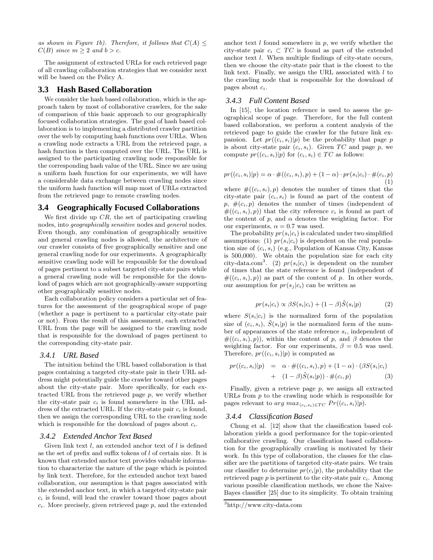as shown in Figure 1b). Therefore, it follows that  $C(A) \leq$  $C(B)$  since  $m \geq 2$  and  $b > c$ .

The assignment of extracted URLs for each retrieved page of all crawling collaboration strategies that we consider next will be based on the Policy A.

#### **3.3 Hash Based Collaboration**

We consider the hash based collaboration, which is the approach taken by most of collaborative crawlers, for the sake of comparison of this basic approach to our geographically focused collaboration strategies. The goal of hash based collaboration is to implementing a distributed crawler partition over the web by computing hash functions over URLs. When a crawling node extracts a URL from the retrieved page, a hash function is then computed over the URL. The URL is assigned to the participating crawling node responsible for the corresponding hash value of the URL. Since we are using a uniform hash function for our experiments, we will have a considerable data exchange between crawling nodes since the uniform hash function will map most of URLs extracted from the retrieved page to remote crawling nodes.

# **3.4 Geographically Focused Collaborations**

We first divide up  $CR$ , the set of participating crawling nodes, into geographically sensitive nodes and general nodes. Even though, any combination of geographically sensitive and general crawling nodes is allowed, the architecture of our crawler consists of five geographically sensitive and one general crawling node for our experiments. A geographically sensitive crawling node will be responsible for the download of pages pertinent to a subset targeted city-state pairs while a general crawling node will be responsible for the download of pages which are not geographically-aware supporting other geographically sensitive nodes.

Each collaboration policy considers a particular set of features for the assessment of the geographical scope of page (whether a page is pertinent to a particular city-state pair or not). From the result of this assessment, each extracted URL from the page will be assigned to the crawling node that is responsible for the download of pages pertinent to the corresponding city-state pair.

#### *3.4.1 URL Based*

The intuition behind the URL based collaboration is that pages containing a targeted city-state pair in their URL address might potentially guide the crawler toward other pages about the city-state pair. More specifically, for each extracted URL from the retrieved page  $p$ , we verify whether the city-state pair  $c_i$  is found somewhere in the URL address of the extracted URL. If the city-state pair  $c_i$  is found, then we assign the corresponding URL to the crawling node which is responsible for the download of pages about  $c_i$ .

#### *3.4.2 Extended Anchor Text Based*

Given link text  $l$ , an extended anchor text of  $l$  is defined as the set of prefix and suffix tokens of l of certain size. It is known that extended anchor text provides valuable information to characterize the nature of the page which is pointed by link text. Therefore, for the extended anchor text based collaboration, our assumption is that pages associated with the extended anchor text, in which a targeted city-state pair  $c_i$  is found, will lead the crawler toward those pages about  $c_i$ . More precisely, given retrieved page  $p$ , and the extended anchor text  $l$  found somewhere in  $p$ , we verify whether the city-state pair  $c_i \text{ }\subset TC$  is found as part of the extended anchor text l. When multiple findings of city-state occurs, then we choose the city-state pair that is the closest to the link text. Finally, we assign the URL associated with  $l$  to the crawling node that is responsible for the download of pages about  $c_i$ .

#### *3.4.3 Full Content Based*

In [15], the location reference is used to assess the geographical scope of page. Therefore, for the full content based collaboration, we perform a content analysis of the retrieved page to guide the crawler for the future link expansion. Let  $pr((c_i, s_i)|p)$  be the probability that page p is about city-state pair  $(c_i, s_i)$ . Given TC and page p, we compute  $pr((c_i, s_i)|p)$  for  $(c_i, s_i) \in TC$  as follows:

$$
pr((c_i, s_i)|p) = \alpha \cdot \#((c_i, s_i), p) + (1 - \alpha) \cdot pr(s_i|c_i) \cdot \#(c_i, p) \tag{1}
$$

where  $\#((c_i, s_i), p)$  denotes the number of times that the city-state pair  $(c_i, s_i)$  is found as part of the content of  $p, \#(c_i, p)$  denotes the number of times (independent of  $#((c_i, s_i), p))$  that the city reference  $c_i$  is found as part of the content of  $p$ , and  $\alpha$  denotes the weighting factor. For our experiments,  $\alpha = 0.7$  was used.

The probability  $pr(s_i|c_i)$  is calculated under two simplified assumptions: (1)  $pr(s_i|c_i)$  is dependent on the real population size of  $(c_i, s_i)$  (e.g., Population of Kansas City, Kansas is 500,000). We obtain the population size for each city city-data.com<sup>3</sup>. (2)  $pr(s_i|c_i)$  is dependent on the number of times that the state reference is found (independent of  $#((c_i, s_i), p))$  as part of the content of p. In other words, our assumption for  $pr(s_i | c_i)$  can be written as

$$
pr(s_i|c_i) \propto \beta S(s_i|c_i) + (1-\beta)\tilde{S}(s_i|p) \tag{2}
$$

where  $S(s_i|c_i)$  is the normalized form of the population size of  $(c_i, s_i)$ ,  $\tilde{S}(s_i|p)$  is the normalized form of the number of appearances of the state reference  $s_i$ , independent of  $#((c_i, s_i), p)$ , within the content of p, and  $\beta$  denotes the weighting factor. For our experiments,  $\beta = 0.5$  was used. Therefore,  $pr((c_i, s_i)|p)$  is computed as

$$
pr((c_i, s_i)|p) = \alpha \cdot #((c_i, s_i), p) + (1 - \alpha) \cdot (\beta S(s_i|c_i) + (1 - \beta) \tilde{S}(s_i|p)) \cdot #(c_i, p) \qquad (3)
$$

Finally, given a retrieve page  $p$ , we assign all extracted URLs from  $p$  to the crawling node which is responsible for pages relevant to arg  $max_{(c_i, s_i) \in TC} Pr((c_i, s_i)|p)$ .

#### *3.4.4 Classification Based*

Chung et al. [12] show that the classification based collaboration yields a good performance for the topic-oriented collaborative crawling. Our classification based collaboration for the geographically crawling is motivated by their work. In this type of collaboration, the classes for the classifier are the partitions of targeted city-state pairs. We train our classifier to determine  $pr(c_i|p)$ , the probability that the retrieved page  $p$  is pertinent to the city-state pair  $c_i$ . Among various possible classification methods, we chose the Naive-Bayes classifier [25] due to its simplicity. To obtain training

<sup>3</sup>http://www.city-data.com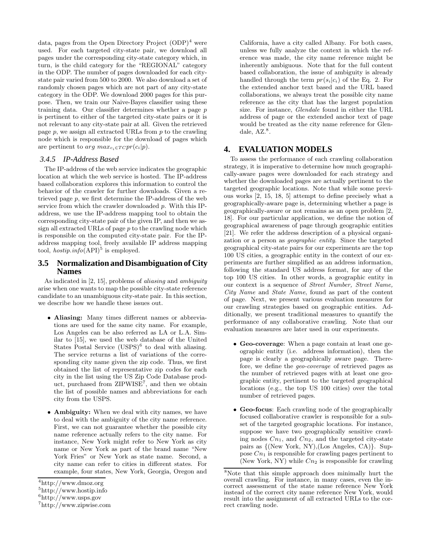data, pages from the Open Directory Project  $(ODP)^4$  were used. For each targeted city-state pair, we download all pages under the corresponding city-state category which, in turn, is the child category for the "REGIONAL" category in the ODP. The number of pages downloaded for each citystate pair varied from 500 to 2000. We also download a set of randomly chosen pages which are not part of any city-state category in the ODP. We download 2000 pages for this purpose. Then, we train our Naive-Bayes classifier using these training data. Our classifier determines whether a page p is pertinent to either of the targeted city-state pairs or it is not relevant to any city-state pair at all. Given the retrieved page  $p$ , we assign all extracted URLs from  $p$  to the crawling node which is responsible for the download of pages which are pertinent to arg  $max_{c_i \in T C} pr(c_i|p)$ .

#### *3.4.5 IP-Address Based*

The IP-address of the web service indicates the geographic location at which the web service is hosted. The IP-address based collaboration explores this information to control the behavior of the crawler for further downloads. Given a retrieved page  $p$ , we first determine the IP-address of the web service from which the crawler downloaded  $p$ . With this IPaddress, we use the IP-address mapping tool to obtain the corresponding city-state pair of the given IP, and then we assign all extracted URLs of page  $p$  to the crawling node which is responsible on the computed city-state pair. For the IPaddress mapping tool, freely available IP address mapping tool,  $hostip.info(API)^5$  is employed.

### **3.5 Normalization and Disambiguation of City Names**

As indicated in [2, 15], problems of aliasing and ambiguity arise when one wants to map the possible city-state reference candidate to an unambiguous city-state pair. In this section, we describe how we handle these issues out.

- Aliasing: Many times different names or abbreviations are used for the same city name. For example, Los Angeles can be also referred as LA or L.A. Similar to [15], we used the web database of the United States Postal Service  $(USPS)^6$  to deal with aliasing. The service returns a list of variations of the corresponding city name given the zip code. Thus, we first obtained the list of representative zip codes for each city in the list using the US Zip Code Database product, purchased from ZIPWISE<sup>7</sup>, and then we obtain the list of possible names and abbreviations for each city from the USPS.
- Ambiguity: When we deal with city names, we have to deal with the ambiguity of the city name reference. First, we can not guarantee whether the possible city name reference actually refers to the city name. For instance, New York might refer to New York as city name or New York as part of the brand name "New York Fries" or New York as state name. Second, a city name can refer to cities in different states. For example, four states, New York, Georgia, Oregon and

California, have a city called Albany. For both cases, unless we fully analyze the context in which the reference was made, the city name reference might be inherently ambiguous. Note that for the full content based collaboration, the issue of ambiguity is already handled through the term  $pr(s_i|c_i)$  of the Eq. 2. For the extended anchor text based and the URL based collaborations, we always treat the possible city name reference as the city that has the largest population size. For instance, Glendale found in either the URL address of page or the extended anchor text of page would be treated as the city name reference for Glendale,  $AZ.^8$ .

# **4. EVALUATION MODELS**

To assess the performance of each crawling collaboration strategy, it is imperative to determine how much geographically-aware pages were downloaded for each strategy and whether the downloaded pages are actually pertinent to the targeted geographic locations. Note that while some previous works [2, 15, 18, 5] attempt to define precisely what a geographically-aware page is, determining whether a page is geographically-aware or not remains as an open problem [2, 18]. For our particular application, we define the notion of geographical awareness of page through geographic entities [21]. We refer the address description of a physical organization or a person as geographic entity. Since the targeted geographical city-state pairs for our experiments are the top 100 US cities, a geographic entity in the context of our experiments are further simplified as an address information, following the standard US address format, for any of the top 100 US cities. In other words, a geographic entity in our context is a sequence of Street Number, Street Name, City Name and State Name, found as part of the content of page. Next, we present various evaluation measures for our crawling strategies based on geographic entities. Additionally, we present traditional measures to quantify the performance of any collaborative crawling. Note that our evaluation measures are later used in our experiments.

- Geo-coverage: When a page contain at least one geographic entity (i.e. address information), then the page is clearly a geographically aware page. Therefore, we define the geo-coverage of retrieved pages as the number of retrieved pages with at least one geographic entity, pertinent to the targeted geographical locations (e.g., the top US 100 cities) over the total number of retrieved pages.
- Geo-focus: Each crawling node of the geographically focused collaborative crawler is responsible for a subset of the targeted geographic locations. For instance, suppose we have two geographically sensitive crawling nodes  $Cn_1$ , and  $Cn_2$ , and the targeted city-state pairs as {(New York, NY),(Los Angeles, CA)}. Suppose  $C_{n_1}$  is responsible for crawling pages pertinent to (New York, NY) while  $Cn_2$  is responsible for crawling

<sup>4</sup>http://www.dmoz.org

<sup>5</sup>http://www.hostip.info

 $6$ http://www.usps.gov

<sup>7</sup>http://www.zipwise.com

<sup>8</sup>Note that this simple approach does minimally hurt the overall crawling. For instance, in many cases, even the incorrect assessment of the state name reference New York instead of the correct city name reference New York, would result into the assignment of all extracted URLs to the correct crawling node.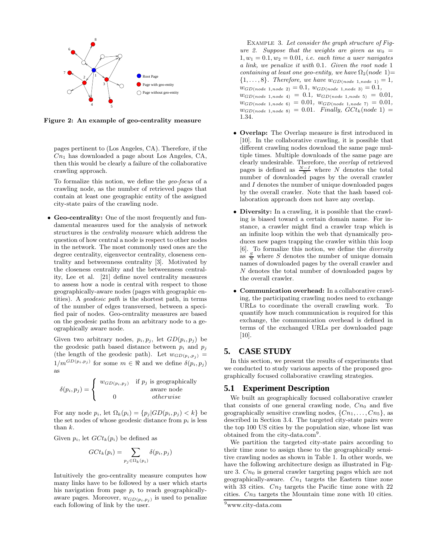

Figure 2: An example of geo-centrality measure

pages pertinent to (Los Angeles, CA). Therefore, if the  $Cn<sub>1</sub>$  has downloaded a page about Los Angeles, CA, then this would be clearly a failure of the collaborative crawling approach.

To formalize this notion, we define the geo-focus of a crawling node, as the number of retrieved pages that contain at least one geographic entity of the assigned city-state pairs of the crawling node.

• Geo-centrality: One of the most frequently and fundamental measures used for the analysis of network structures is the centrality measure which address the question of how central a node is respect to other nodes in the network. The most commonly used ones are the degree centrality, eigenvector centrality, closeness centrality and betweenness centrality [3]. Motivated by the closeness centrality and the betweenness centrality, Lee et al. [21] define novel centrality measures to assess how a node is central with respect to those geographically-aware nodes (pages with geographic entities). A geodesic path is the shortest path, in terms of the number of edges transversed, between a specified pair of nodes. Geo-centrality measures are based on the geodesic paths from an arbitrary node to a geographically aware node.

Given two arbitrary nodes,  $p_i, p_j$ , let  $GD(p_i, p_j)$  be the geodesic path based distance between  $p_i$  and  $p_j$ (the length of the geodesic path). Let  $w_{GD(p_i, p_j)} =$  $1/m^{GD(p_i, p_j)}$  for some  $m \in \Re$  and we define  $\delta(p_i, p_j)$ as

$$
\delta(p_i, p_j) = \begin{cases} w_{GD(p_i, p_j)} & \text{if } p_j \text{ is geographically} \\ w_{\text{average}} & \text{where } p_j \text{ is the same} \\ 0 & otherwise \end{cases}
$$

For any node  $p_i$ , let  $\Omega_k(p_i) = \{p_i | GD(p_i, p_j) < k\}$  be the set nodes of whose geodesic distance from  $p_i$  is less than k.

Given  $p_i$ , let  $Gct_k(p_i)$  be defined as

$$
G C t_k(p_i) = \sum_{p_j \in \Omega_k(p_i)} \delta(p_i,p_j)
$$

Intuitively the geo-centrality measure computes how many links have to be followed by a user which starts his navigation from page  $p_i$  to reach geographicallyaware pages. Moreover,  $w_{GD(p_i, p_j)}$  is used to penalize each following of link by the user.

Example 3. Let consider the graph structure of Figure 2. Suppose that the weights are given as  $w_0 =$  $1, w_1 = 0.1, w_2 = 0.01$ , *i.e.* each time a user navigates a link, we penalize it with 0.1. Given the root node 1 containing at least one geo-entity, we have  $\Omega_2(node 1)=$  ${1, \ldots, 8}$ . Therefore, we have  $w_{GD(node 1, node 1)} = 1$ ,  $w_{GD(node 1, node 2)} = 0.1, w_{GD(node 1, node 3)} = 0.1,$  $w_{GD(node 1, node 4)} = 0.1, w_{GD(node 1, node 5)} = 0.01,$  $w_{GD(node 1, node 6)} = 0.01, w_{GD(node 1, node 7)} = 0.01,$  $w_{GD(node 1, node 8)} = 0.01$ . Finally,  $GCt_k(node 1)$ 1.34.

- Overlap: The Overlap measure is first introduced in [10]. In the collaborative crawling, it is possible that different crawling nodes download the same page multiple times. Multiple downloads of the same page are clearly undesirable. Therefore, the overlap of retrieved pages is defined as  $\frac{N-I}{N}$  where N denotes the total number of downloaded pages by the overall crawler and I denotes the number of unique downloaded pages by the overall crawler. Note that the hash based collaboration approach does not have any overlap.
- Diversity: In a crawling, it is possible that the crawling is biased toward a certain domain name. For instance, a crawler might find a crawler trap which is an infinite loop within the web that dynamically produces new pages trapping the crawler within this loop [6]. To formalize this notion, we define the diversity as  $\frac{S}{N}$  where S denotes the number of unique domain names of downloaded pages by the overall crawler and N denotes the total number of downloaded pages by the overall crawler.
- Communication overhead: In a collaborative crawling, the participating crawling nodes need to exchange URLs to coordinate the overall crawling work. To quantify how much communication is required for this exchange, the communication overhead is defined in terms of the exchanged URLs per downloaded page [10].

#### **5. CASE STUDY**

In this section, we present the results of experiments that we conducted to study various aspects of the proposed geographically focused collaborative crawling strategies.

#### **5.1 Experiment Description**

We built an geographically focused collaborative crawler that consists of one general crawling node,  $Cn_0$  and five geographically sensitive crawling nodes,  $\{C_{1}, \ldots, C_{n_5}\}\$ , as described in Section 3.4. The targeted city-state pairs were the top 100 US cities by the population size, whose list was obtained from the city-data.com<sup>9</sup>.

We partition the targeted city-state pairs according to their time zone to assign these to the geographically sensitive crawling nodes as shown in Table 1. In other words, we have the following architecture design as illustrated in Figure 3.  $C_{n_0}$  is general crawler targeting pages which are not geographically-aware.  $C_{n_1}$  targets the Eastern time zone with 33 cities.  $C_{n_2}$  targets the Pacific time zone with 22 cities.  $Cn_3$  targets the Mountain time zone with 10 cities.

<sup>9</sup>www.city-data.com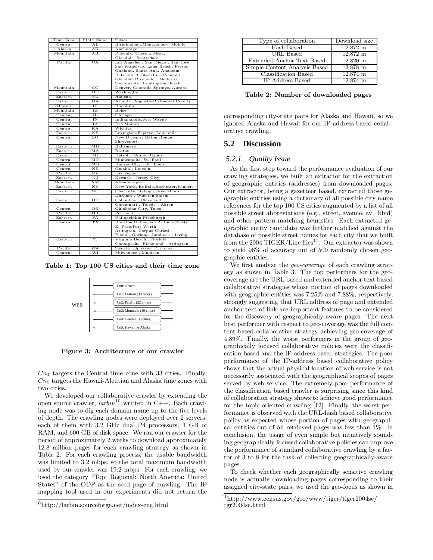| Time Zone                | State Name      | Cities                                |  |  |
|--------------------------|-----------------|---------------------------------------|--|--|
| Central                  | AT <sub>1</sub> | Birmingham, Montgomery, Mobile        |  |  |
| Alaska                   | AК              | Anchorage                             |  |  |
| Mountain                 | AR              | Phoenix, Tucson, Mesa,                |  |  |
|                          |                 | Glendale, Scottsdale                  |  |  |
| Pacific                  | CA              | Los Angeles, San Diego, San Jose      |  |  |
|                          |                 | San Francisco, Long Beach, Fresno     |  |  |
|                          |                 | Oakland, Santa Ana, Anaheim           |  |  |
|                          |                 | Bakersfield, Stockton, Fremont        |  |  |
|                          |                 | Glendale, Riverside, Modesto          |  |  |
|                          |                 | Sacramento, Huntington Beach          |  |  |
| Mountain                 | CO              | Denver, Colorado Springs, Aurora      |  |  |
| Eastern                  | DС              | Washington                            |  |  |
| Eastern                  | FL              | Hialeah                               |  |  |
| Eastern                  | GА              | Atlanta, Augusta-Richmond County      |  |  |
| Hawaii                   | $_{\rm HI}$     | Honolulu                              |  |  |
| Mountain                 | ΙD              | Boise                                 |  |  |
| Central                  | п.              | Chicago                               |  |  |
| Central                  | IN              | Indianapolis, Fort Wayne              |  |  |
| Central                  | ΙA              | Des Moines                            |  |  |
| Central                  | КA              | Wichita                               |  |  |
| Eastern                  | ΚE              | Lexington-Fayette, Louisville         |  |  |
| Central                  | LO              | New Orleans, Baton Rouge              |  |  |
|                          |                 | Shreveport                            |  |  |
| Eastern                  | MD              | Baltimore                             |  |  |
| Eastern                  | MA              | <b>Boston</b>                         |  |  |
| Eastern                  | MT              | Detroit, Grand Rapids                 |  |  |
| Central                  | MΝ              | Minneapolis, St. Paul                 |  |  |
| Central                  | ΜО              | Kansas City, St. Louis                |  |  |
| $\rm Central$            | NΕ              | Omaha, Lincoln                        |  |  |
| Pacific                  | $_{\rm NV}$     | Las Vegas                             |  |  |
| Eastern                  | NJ              | Newark, Jersey City                   |  |  |
| Mountain                 | NΜ              | Albuquerque                           |  |  |
| $\operatorname{Eastern}$ | $_{\rm NY}$     | New York, Buffalo, Rochester, Yonkers |  |  |
| Eastern                  | NΟ              | Charlotte, Raleigh, Greensboro        |  |  |
|                          |                 | Durham, Winston-Salem                 |  |  |
| Eastern                  | OН              | Columbus, Cleveland                   |  |  |
|                          |                 | Cincinnati, Toledo, Akron             |  |  |
| Central                  | ОК              | Oklahoma City, Tulsa                  |  |  |
| Pacific                  | ΟR              | Portland                              |  |  |
| $E$ astern               | PA              | Philadelphia, Pittsburgh              |  |  |
| Central                  | ТX              | Houston, Dallas, San Antonio, Austin  |  |  |
|                          |                 | El Paso, Fort Worth                   |  |  |
|                          |                 | Arlington, Corpus Christi             |  |  |
|                          |                 | Plano, Garland, Lubbock, Irving       |  |  |
| Eastern                  | VI              | Virginia Beach, Norfolk               |  |  |
|                          |                 | Chesapeake, Richmond, Arlington       |  |  |
| Pacific                  | WA              | Seattle, Spokane, Tacoma              |  |  |
| Central                  | WI              | Milwaukee, Madison                    |  |  |

Table 1: Top 100 US cities and their time zone



Figure 3: Architecture of our crawler

 $Cn_4$  targets the Central time zone with 33 cities. Finally,  $Cn<sub>5</sub>$  targets the Hawaii-Aleutian and Alaska time zones with two cities.

We developed our collaborative crawler by extending the open source crawler,  $larbin^{10}$  written in C++. Each crawling node was to dig each domain name up to the five levels of depth. The crawling nodes were deployed over 2 servers, each of them with 3.2 GHz dual P4 processors, 1 GB of RAM, and 600 GB of disk space. We ran our crawler for the period of approximately 2 weeks to download approximately 12.8 million pages for each crawling strategy as shown in Table 2. For each crawling process, the usable bandwidth was limited to 3.2 mbps, so the total maximum bandwidth used by our crawler was 19.2 mbps. For each crawling, we used the category "Top: Regional: North America: United States" of the ODP as the seed page of crawling. The IP mapping tool used in our experiments did not return the

| Download size<br>Type of collaboration           |  |
|--------------------------------------------------|--|
| Hash Based<br>$12.872 \;{\rm m}$                 |  |
| URL Based<br>$12.872 \;{\rm m}$                  |  |
| $12.820 \text{ m}$<br>Extended Anchor Text Based |  |
| $12.878$ m<br>Simple Content Analysis Based      |  |
| Classification Based<br>$12.874$ m               |  |
| IP Address Based<br>12.874 m                     |  |

Table 2: Number of downloaded pages

corresponding city-state pairs for Alaska and Hawaii, so we ignored Alaska and Hawaii for our IP-address based collaborative crawling.

# **5.2 Discussion**

#### *5.2.1 Quality Issue*

As the first step toward the performance evaluation of our crawling strategies, we built an extractor for the extraction of geographic entities (addresses) from downloaded pages. Our extractor, being a gazetteer based, extracted those geographic entities using a dictionary of all possible city name references for the top 100 US cities augmented by a list of all possible street abbreviations (e.g., street, avenue, av., blvd) and other pattern matching heuristics. Each extracted geographic entity candidate was further matched against the database of possible street names for each city that we built from the 2004 TIGER/Line files<sup>11</sup>. Our extractor was shown to yield 96% of accuracy out of 500 randomly chosen geographic entities.

We first analyze the geo-coverage of each crawling strategy as shown in Table 3. The top performers for the geocoverage are the URL based and extended anchor text based collaborative strategies whose portion of pages downloaded with geographic entities was 7.25% and 7.88%, respectively, strongly suggesting that URL address of page and extended anchor text of link are important features to be considered for the discovery of geographically-aware pages. The next best performer with respect to geo-coverage was the full content based collaborative strategy achieving geo-coverage of 4.89%. Finally, the worst performers in the group of geographically focused collaborative policies were the classification based and the IP-address based strategies. The poor performance of the IP-address based collaborative policy shows that the actual physical location of web service is not necessarily associated with the geographical scopes of pages served by web service. The extremely poor performance of the classification based crawler is surprising since this kind of collaboration strategy shows to achieve good performance for the topic-oriented crawling [12]. Finally, the worst performance is observed with the URL-hash based collaborative policy as expected whose portion of pages with geographical entities out of all retrieved pages was less than 1%. In conclusion, the usage of even simple but intuitively sounding geographically focused collaborative policies can improve the performance of standard collaborative crawling by a factor of 3 to 8 for the task of collecting geographically-aware pages.

To check whether each geographically sensitive crawling node is actually downloading pages corresponding to their assigned city-state pairs, we used the geo-focus as shown in

<sup>10</sup>http://larbin.sourceforge.net/index-eng.html

 $11$ http://www.census.gov/geo/www/tiger/tiger2004se/ tgr2004se.html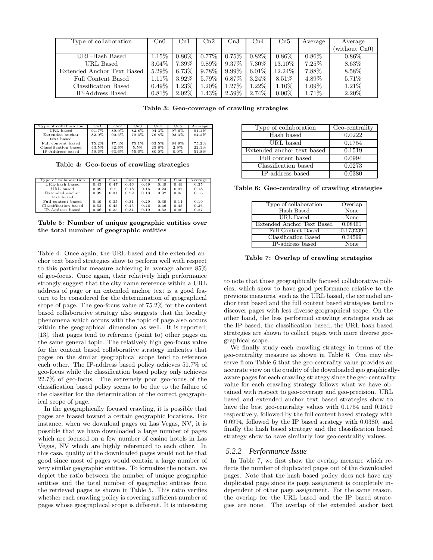| Type of collaboration      | $C_{10}$ | Cn1      | $\mathrm{Cn}2$ | $\mathrm{Cn}3$ | Cn4      | Cn5      | Average  | Average       |
|----------------------------|----------|----------|----------------|----------------|----------|----------|----------|---------------|
|                            |          |          |                |                |          |          |          | (without Cn0) |
| URL-Hash Based             | 1.15%    | $0.80\%$ | $0.77\%$       | $0.75\%$       | $0.82\%$ | $0.86\%$ | $0.86\%$ | $0.86\%$      |
| URL Based                  | $3.04\%$ | $7.39\%$ | $9.89\%$       | $9.37\%$       | $7.30\%$ | 13.10%   | 7.25%    | 8.63%         |
| Extended Anchor Text Based | 5.29%    | $6.73\%$ | $9.78\%$       | $9.99\%$       | $6.01\%$ | 12.24\%  | 7.88%    | 8.58%         |
| Full Content Based         | $1.11\%$ | $3.92\%$ | 5.79%          | 6.87%          | $3.24\%$ | $8.51\%$ | 4.89%    | 5.71%         |
| Classification Based       | $0.49\%$ | $1.23\%$ | 1.20\%         | 1.27\%         | $1.22\%$ | $1.10\%$ | $1.09\%$ | $1.21\%$      |
| IP-Address Based           | 0.81%    | $2.02\%$ | $1.43\%$       | 2.59%          | 2.74\%   | $0.00\%$ | $1.71\%$ | 2.20%         |

Table 3: Geo-coverage of crawling strategies

| Type of collaboration | $_{\rm Cn1}$ | $_{\rm Cn2}$ | $_{\rm Cn3}$ | Cn4   | Cn5     | Average |
|-----------------------|--------------|--------------|--------------|-------|---------|---------|
| URL based             | 91.7%        | 89.0%        | 82.8%        | 94.3% | 97.6%   | 91.1%   |
| Extended anchor       | 82.0%        | 90.5%        | 79.6%        | 76.8% | 92.3%   | 84.2%   |
| text based            |              |              |              |       |         |         |
| Full content based    | 75.2%        | 77.4%        | 75.1%        | 63.5% | 84.9%   | 75.2%   |
| Classification based  | 43.5%        | 32.6%        | 5.5%         | 25.8% | 2.9%    | 22.1%   |
| IP-Address based      | 59.6%        | 63.6%        | 55.6%        | 80.0% | $0.0\%$ | 51.8%   |

Table 4: Geo-focus of crawling strategies

| Type of collaboration | $C_{11}$ | Cn1  | Cn2  | Cn3  | $_{\rm Cn4}$ | Cn5  | Average |
|-----------------------|----------|------|------|------|--------------|------|---------|
| URL-hash based        | 0.45     | 0.47 | 0.46 | 0.49 | 0.49         | 0.49 | 0.35    |
| URL based             | 0.39     | 0.2  | 0.18 | 0.16 | 0.24         | 0.07 | 0.18    |
| Extended anchor       | 0.39     | 0.31 | 0.22 | 0.13 | 0.32         | 0.05 | 0.16    |
| text based            |          |      |      |      |              |      |         |
| Full content based    | 0.49     | 0.35 | 0.31 | 0.29 | 0.39         | 0.14 | 0.19    |
| Classification based  | 0.52     | 0.45 | 0.45 | 0.46 | 0.46         | 0.45 | 0.26    |
| IP-Address based      | 0.46     | 0.25 | 0.31 | 0.19 | 0.32         | 0.00 | 0.27    |

Table 5: Number of unique geographic entities over the total number of geographic entities

Table 4. Once again, the URL-based and the extended anchor text based strategies show to perform well with respect to this particular measure achieving in average above 85% of geo-focus. Once again, their relatively high performance strongly suggest that the city name reference within a URL address of page or an extended anchor text is a good feature to be considered for the determination of geographical scope of page. The geo-focus value of 75.2% for the content based collaborative strategy also suggests that the locality phenomena which occurs with the topic of page also occurs within the geographical dimension as well. It is reported, [13], that pages tend to reference (point to) other pages on the same general topic. The relatively high geo-focus value for the content based collaborative strategy indicates that pages on the similar geographical scope tend to reference each other. The IP-address based policy achieves 51.7% of geo-focus while the classification based policy only achieves 22.7% of geo-focus. The extremely poor geo-focus of the classification based policy seems to be due to the failure of the classifier for the determination of the correct geographical scope of page.

In the geographically focused crawling, it is possible that pages are biased toward a certain geographic locations. For instance, when we download pages on Las Vegas, NV, it is possible that we have downloaded a large number of pages which are focused on a few number of casino hotels in Las Vegas, NV which are highly referenced to each other. In this case, quality of the downloaded pages would not be that good since most of pages would contain a large number of very similar geographic entities. To formalize the notion, we depict the ratio between the number of unique geographic entities and the total number of geographic entities from the retrieved pages as shown in Table 5. This ratio verifies whether each crawling policy is covering sufficient number of pages whose geographical scope is different. It is interesting

| Type of collaboration      | Geo-centrality |
|----------------------------|----------------|
| Hash based                 | 0.0222         |
| URL based                  | 0.1754         |
| Extended anchor text based | 0.1519         |
| Full content based         | 0.0994         |
| Classification based       | 0.0273         |
| IP-address based           | 0.0380         |

Table 6: Geo-centrality of crawling strategies

| Type of collaboration      | Overlap  |
|----------------------------|----------|
| Hash Based                 | None     |
| URL Based                  | None     |
| Extended Anchor Text Based | 0.08461  |
| Full Content Based         | 0.173239 |
| Classification Based       | 0.34599  |
| IP-address based           | None     |

Table 7: Overlap of crawling strategies

to note that those geographically focused collaborative policies, which show to have good performance relative to the previous measures, such as the URL based, the extended anchor text based and the full content based strategies tend to discover pages with less diverse geographical scope. On the other hand, the less performed crawling strategies such as the IP-based, the classification based, the URL-hash based strategies are shown to collect pages with more diverse geographical scope.

We finally study each crawling strategy in terms of the geo-centrality measure as shown in Table 6. One may observe from Table 6 that the geo-centrality value provides an accurate view on the quality of the downloaded geo graphicallyaware pages for each crawling strategy since the geo-centrality value for each crawling strategy follows what we have obtained with respect to geo-coverage and geo-precision. URL based and extended anchor text based strategies show to have the best geo-centrality values with 0.1754 and 0.1519 respectively, followed by the full content based strategy with 0.0994, followed by the IP based strategy with 0.0380, and finally the hash based strategy and the classification based strategy show to have similarly low geo-centrality values.

#### *5.2.2 Performance Issue*

In Table 7, we first show the overlap measure which reflects the number of duplicated pages out of the downloaded pages. Note that the hash based policy does not have any duplicated page since its page assignment is completely independent of other page assignment. For the same reason, the overlap for the URL based and the IP based strategies are none. The overlap of the extended anchor text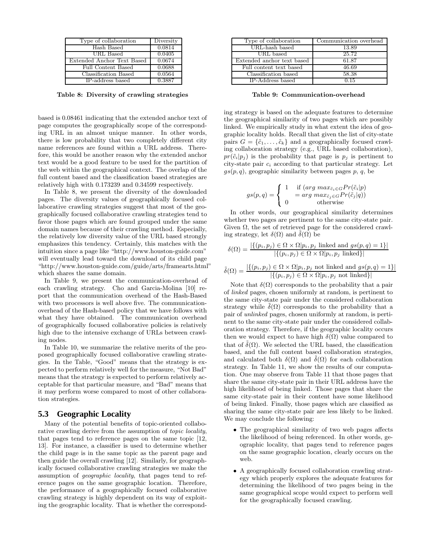| Type of collaboration      | Diversity |
|----------------------------|-----------|
| Hash Based                 | 0.0814    |
| URL Based                  | 0.0405    |
| Extended Anchor Text Based | 0.0674    |
| Full Content Based         | 0.0688    |
| Classification Based       | 0.0564    |
| IP-address based           | 0.3887    |

Table 8: Diversity of crawling strategies

based is 0.08461 indicating that the extended anchor text of page computes the geographically scope of the corresponding URL in an almost unique manner. In other words, there is low probability that two completely different city name references are found within a URL address. Therefore, this would be another reason why the extended anchor text would be a good feature to be used for the partition of the web within the geographical context. The overlap of the full content based and the classification based strategies are relatively high with 0.173239 and 0.34599 respectively.

In Table 8, we present the diversity of the downloaded pages. The diversity values of geographically focused collaborative crawling strategies suggest that most of the geographically focused collaborative crawling strategies tend to favor those pages which are found grouped under the same domain names because of their crawling method. Especially, the relatively low diversity value of the URL based strongly emphasizes this tendency. Certainly, this matches with the intuition since a page like "http://www.houston-guide.com" will eventually lead toward the download of its child page "http://www.houston-guide.com/guide/arts/framearts.html" which shares the same domain.

In Table 9, we present the communication-overhead of each crawling strategy. Cho and Garcia-Molina [10] report that the communication overhead of the Hash-Based with two processors is well above five. The communicationoverhead of the Hash-based policy that we have follows with what they have obtained. The communication overhead of geographically focused collaborative policies is relatively high due to the intensive exchange of URLs between crawling nodes.

In Table 10, we summarize the relative merits of the proposed geographically focused collaborative crawling strategies. In the Table, "Good" means that the strategy is expected to perform relatively well for the measure, "Not Bad" means that the strategy is expected to perform relatively acceptable for that particular measure, and "Bad" means that it may perform worse compared to most of other collaboration strategies.

#### **5.3 Geographic Locality**

Many of the potential benefits of topic-oriented collaborative crawling derive from the assumption of topic locality, that pages tend to reference pages on the same topic [12, 13]. For instance, a classifier is used to determine whether the child page is in the same topic as the parent page and then guide the overall crawling [12]. Similarly, for geographically focused collaborative crawling strategies we make the assumption of geographic locality, that pages tend to reference pages on the same geographic location. Therefore, the performance of a geographically focused collaborative crawling strategy is highly dependent on its way of exploiting the geographic locality. That is whether the correspond-

| Type of collaboration      | Communication overhead |
|----------------------------|------------------------|
| URL-hash based             | 13.89                  |
| URL based                  | 25.72                  |
| Extended anchor text based | 61.87                  |
| Full content text based    | 46.69                  |
| Classification based       | 58.38                  |
| IP-Address based           | 0.15                   |

Table 9: Communication-overhead

ing strategy is based on the adequate features to determine the geographical similarity of two pages which are possibly linked. We empirically study in what extent the idea of geographic locality holds. Recall that given the list of city-state pairs  $G = {\tilde{c}_1, \ldots, \tilde{c}_k}$  and a geographically focused crawling collaboration strategy (e.g., URL based collaboration),  $pr(\tilde{c}_i|p_i)$  is the probability that page is  $p_i$  is pertinent to city-state pair  $c_i$  according to that particular strategy. Let  $gs(p, q)$ , geographic similarity between pages p, q, be

$$
gs(p,q) = \begin{cases} 1 & \text{if } (arg \ max_{\tilde{c}_i \in G} Pr(\tilde{c}_i|p) \\ = arg \ max_{\tilde{c}_j \in G} Pr(\tilde{c}_j|q)) \\ 0 & \text{otherwise} \end{cases}
$$

In other words, our geographical similarity determines whether two pages are pertinent to the same city-state pair. Given Ω, the set of retrieved page for the considered crawling strategy, let  $\delta(\Omega)$  and  $\delta(\Omega)$  be

$$
\delta(\Omega) = \frac{|\{(p_i, p_j) \in \Omega \times \Omega | p_i, p_j \text{ linked and } gs(p, q) = 1\}|}{|\{(p_i, p_j) \in \Omega \times \Omega | p_i, p_j \text{ linked}\}|}
$$

$$
\tilde{\delta}(\Omega) = \frac{|\{(p_i, p_j) \in \Omega \times \Omega | p_i, p_j \text{ not linked and } gs(p, q) = 1\}|}{|\{(p_i, p_j) \in \Omega \times \Omega | p_i, p_j \text{ not linked}\}|}
$$

Note that  $\delta(\Omega)$  corresponds to the probability that a pair of linked pages, chosen uniformly at random, is pertinent to the same city-state pair under the considered collaboration strategy while  $\delta(\Omega)$  corresponds to the probability that a pair of unlinked pages, chosen uniformly at random, is pertinent to the same city-state pair under the considered collaboration strategy. Therefore, if the geographic locality occurs then we would expect to have high  $\delta(\Omega)$  value compared to that of  $\delta(\Omega)$ . We selected the URL based, the classification based, and the full content based collaboration strategies, and calculated both  $\delta(\Omega)$  and  $\delta(\Omega)$  for each collaboration strategy. In Table 11, we show the results of our computation. One may observe from Table 11 that those pages that share the same city-state pair in their URL address have the high likelihood of being linked. Those pages that share the same city-state pair in their content have some likelihood of being linked. Finally, those pages which are classified as sharing the same city-state pair are less likely to be linked. We may conclude the following:

- The geographical similarity of two web pages affects the likelihood of being referenced. In other words, geographic locality, that pages tend to reference pages on the same geographic location, clearly occurs on the web.
- A geographically focused collaboration crawling strategy which properly explores the adequate features for determining the likelihood of two pages being in the same geographical scope would expect to perform well for the geographically focused crawling.